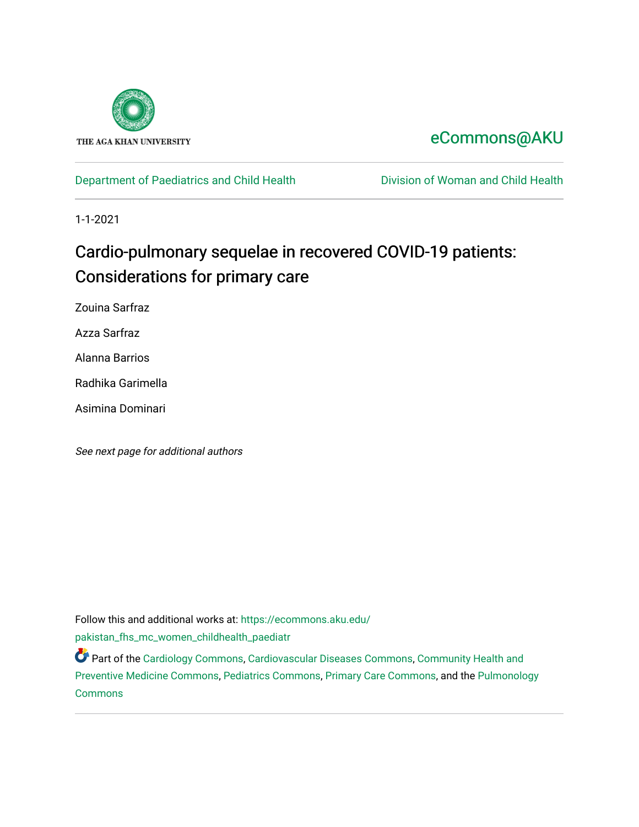

## [eCommons@AKU](https://ecommons.aku.edu/)

## [Department of Paediatrics and Child Health](https://ecommons.aku.edu/pakistan_fhs_mc_women_childhealth_paediatr) **Division of Woman and Child Health**

1-1-2021

# Cardio-pulmonary sequelae in recovered COVID-19 patients: Considerations for primary care

Zouina Sarfraz

Azza Sarfraz

Alanna Barrios

Radhika Garimella

Asimina Dominari

See next page for additional authors

Follow this and additional works at: [https://ecommons.aku.edu/](https://ecommons.aku.edu/pakistan_fhs_mc_women_childhealth_paediatr?utm_source=ecommons.aku.edu%2Fpakistan_fhs_mc_women_childhealth_paediatr%2F1081&utm_medium=PDF&utm_campaign=PDFCoverPages) [pakistan\\_fhs\\_mc\\_women\\_childhealth\\_paediatr](https://ecommons.aku.edu/pakistan_fhs_mc_women_childhealth_paediatr?utm_source=ecommons.aku.edu%2Fpakistan_fhs_mc_women_childhealth_paediatr%2F1081&utm_medium=PDF&utm_campaign=PDFCoverPages) 

Part of the [Cardiology Commons](http://network.bepress.com/hgg/discipline/683?utm_source=ecommons.aku.edu%2Fpakistan_fhs_mc_women_childhealth_paediatr%2F1081&utm_medium=PDF&utm_campaign=PDFCoverPages), [Cardiovascular Diseases Commons,](http://network.bepress.com/hgg/discipline/929?utm_source=ecommons.aku.edu%2Fpakistan_fhs_mc_women_childhealth_paediatr%2F1081&utm_medium=PDF&utm_campaign=PDFCoverPages) [Community Health and](http://network.bepress.com/hgg/discipline/744?utm_source=ecommons.aku.edu%2Fpakistan_fhs_mc_women_childhealth_paediatr%2F1081&utm_medium=PDF&utm_campaign=PDFCoverPages)  [Preventive Medicine Commons,](http://network.bepress.com/hgg/discipline/744?utm_source=ecommons.aku.edu%2Fpakistan_fhs_mc_women_childhealth_paediatr%2F1081&utm_medium=PDF&utm_campaign=PDFCoverPages) [Pediatrics Commons](http://network.bepress.com/hgg/discipline/700?utm_source=ecommons.aku.edu%2Fpakistan_fhs_mc_women_childhealth_paediatr%2F1081&utm_medium=PDF&utm_campaign=PDFCoverPages), [Primary Care Commons,](http://network.bepress.com/hgg/discipline/1092?utm_source=ecommons.aku.edu%2Fpakistan_fhs_mc_women_childhealth_paediatr%2F1081&utm_medium=PDF&utm_campaign=PDFCoverPages) and the [Pulmonology](http://network.bepress.com/hgg/discipline/1363?utm_source=ecommons.aku.edu%2Fpakistan_fhs_mc_women_childhealth_paediatr%2F1081&utm_medium=PDF&utm_campaign=PDFCoverPages) [Commons](http://network.bepress.com/hgg/discipline/1363?utm_source=ecommons.aku.edu%2Fpakistan_fhs_mc_women_childhealth_paediatr%2F1081&utm_medium=PDF&utm_campaign=PDFCoverPages)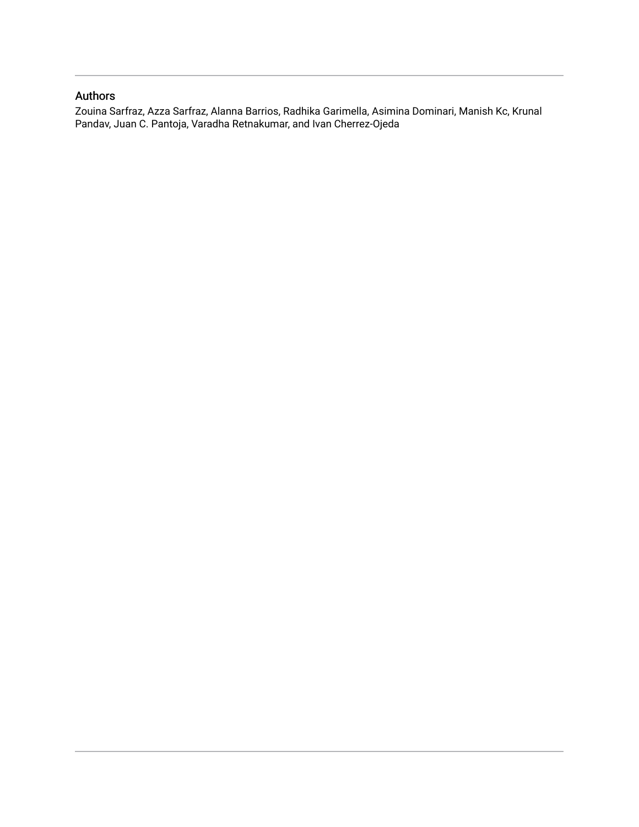## Authors

Zouina Sarfraz, Azza Sarfraz, Alanna Barrios, Radhika Garimella, Asimina Dominari, Manish Kc, Krunal Pandav, Juan C. Pantoja, Varadha Retnakumar, and Ivan Cherrez-Ojeda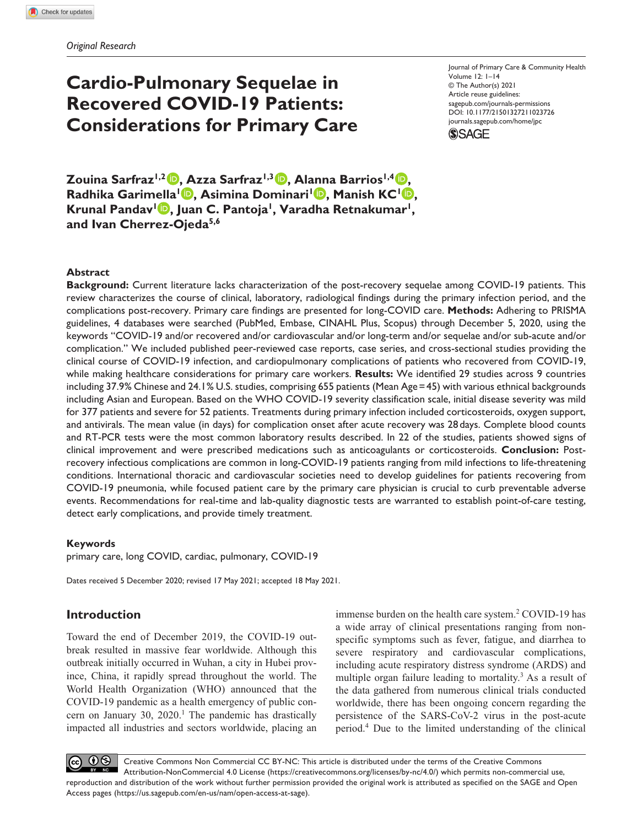## **Cardio-Pulmonary Sequelae in Recovered COVID-19 Patients: Considerations for Primary Care**

Journal of Primary Care & Community Health Volume 12: 1–14 © The Author(s) 2021 Article reuse guidelines: [sagepub.com/journals-permissions](https://us.sagepub.com/en-us/journals-permissions) https://doi.org/10.1177/21501327211023726 DOI: 10.1177/21501327211023726 [journals.sagepub.com/home/jpc](https://journals.sagepub.com/home/jpc) **SSAGE** 

**Zouina Sarfraz1,2 , Azza Sarfraz1,3 , Alanna Barrios1,4 , Radhika Garimella<sup>1</sup><sup>D</sup>, Asimina Dominari<sup>1</sup><sup>D</sup>, Manish KC<sup>1</sup><sup>D</sup>,** Krunal Pandav<sup>1</sup> **D**, Juan C. Pantoja<sup>1</sup>, Varadha Retnakumar<sup>1</sup>, **and Ivan Cherrez-Ojeda5,6**

#### **Abstract**

**Background:** Current literature lacks characterization of the post-recovery sequelae among COVID-19 patients. This review characterizes the course of clinical, laboratory, radiological findings during the primary infection period, and the complications post-recovery. Primary care findings are presented for long-COVID care. **Methods:** Adhering to PRISMA guidelines, 4 databases were searched (PubMed, Embase, CINAHL Plus, Scopus) through December 5, 2020, using the keywords "COVID-19 and/or recovered and/or cardiovascular and/or long-term and/or sequelae and/or sub-acute and/or complication." We included published peer-reviewed case reports, case series, and cross-sectional studies providing the clinical course of COVID-19 infection, and cardiopulmonary complications of patients who recovered from COVID-19, while making healthcare considerations for primary care workers. **Results:** We identified 29 studies across 9 countries including 37.9% Chinese and 24.1% U.S. studies, comprising 655 patients (Mean Age=45) with various ethnical backgrounds including Asian and European. Based on the WHO COVID-19 severity classification scale, initial disease severity was mild for 377 patients and severe for 52 patients. Treatments during primary infection included corticosteroids, oxygen support, and antivirals. The mean value (in days) for complication onset after acute recovery was 28days. Complete blood counts and RT-PCR tests were the most common laboratory results described. In 22 of the studies, patients showed signs of clinical improvement and were prescribed medications such as anticoagulants or corticosteroids. **Conclusion:** Postrecovery infectious complications are common in long-COVID-19 patients ranging from mild infections to life-threatening conditions. International thoracic and cardiovascular societies need to develop guidelines for patients recovering from COVID-19 pneumonia, while focused patient care by the primary care physician is crucial to curb preventable adverse events. Recommendations for real-time and lab-quality diagnostic tests are warranted to establish point-of-care testing, detect early complications, and provide timely treatment.

#### **Keywords**

primary care, long COVID, cardiac, pulmonary, COVID-19

Dates received 5 December 2020; revised 17 May 2021; accepted 18 May 2021.

### **Introduction**

Toward the end of December 2019, the COVID-19 outbreak resulted in massive fear worldwide. Although this outbreak initially occurred in Wuhan, a city in Hubei province, China, it rapidly spread throughout the world. The World Health Organization (WHO) announced that the COVID-19 pandemic as a health emergency of public concern on January 30,  $2020$ .<sup>1</sup> The pandemic has drastically impacted all industries and sectors worldwide, placing an

immense burden on the health care system.<sup>2</sup> COVID-19 has a wide array of clinical presentations ranging from nonspecific symptoms such as fever, fatigue, and diarrhea to severe respiratory and cardiovascular complications, including acute respiratory distress syndrome (ARDS) and multiple organ failure leading to mortality.<sup>3</sup> As a result of the data gathered from numerous clinical trials conducted worldwide, there has been ongoing concern regarding the persistence of the SARS-CoV-2 virus in the post-acute period.4 Due to the limited understanding of the clinical

 $0$ Creative Commons Non Commercial CC BY-NC: This article is distributed under the terms of the Creative Commons Attribution-NonCommercial 4.0 License (https://creativecommons.org/licenses/by-nc/4.0/) which permits non-commercial use, reproduction and distribution of the work without further permission provided the original work is attributed as specified on the SAGE and Open Access pages (https://us.sagepub.com/en-us/nam/open-access-at-sage).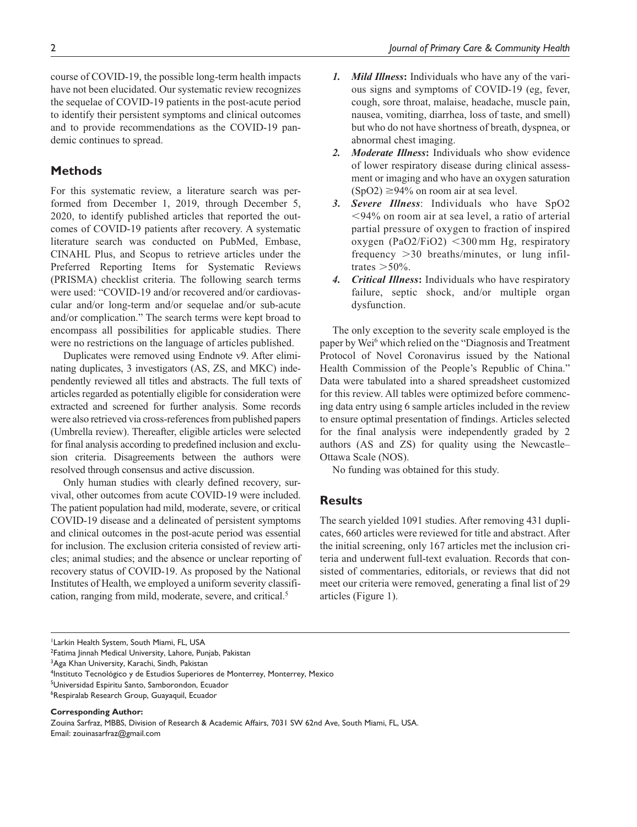course of COVID-19, the possible long-term health impacts have not been elucidated. Our systematic review recognizes the sequelae of COVID-19 patients in the post-acute period to identify their persistent symptoms and clinical outcomes and to provide recommendations as the COVID-19 pandemic continues to spread.

### **Methods**

For this systematic review, a literature search was performed from December 1, 2019, through December 5, 2020, to identify published articles that reported the outcomes of COVID-19 patients after recovery. A systematic literature search was conducted on PubMed, Embase, CINAHL Plus, and Scopus to retrieve articles under the Preferred Reporting Items for Systematic Reviews (PRISMA) checklist criteria. The following search terms were used: "COVID-19 and/or recovered and/or cardiovascular and/or long-term and/or sequelae and/or sub-acute and/or complication." The search terms were kept broad to encompass all possibilities for applicable studies. There were no restrictions on the language of articles published.

Duplicates were removed using Endnote v9. After eliminating duplicates, 3 investigators (AS, ZS, and MKC) independently reviewed all titles and abstracts. The full texts of articles regarded as potentially eligible for consideration were extracted and screened for further analysis. Some records were also retrieved via cross-references from published papers (Umbrella review). Thereafter, eligible articles were selected for final analysis according to predefined inclusion and exclusion criteria. Disagreements between the authors were resolved through consensus and active discussion.

Only human studies with clearly defined recovery, survival, other outcomes from acute COVID-19 were included. The patient population had mild, moderate, severe, or critical COVID-19 disease and a delineated of persistent symptoms and clinical outcomes in the post-acute period was essential for inclusion. The exclusion criteria consisted of review articles; animal studies; and the absence or unclear reporting of recovery status of COVID-19. As proposed by the National Institutes of Health, we employed a uniform severity classification, ranging from mild, moderate, severe, and critical.5

- *1. Mild Illness***:** Individuals who have any of the various signs and symptoms of COVID-19 (eg, fever, cough, sore throat, malaise, headache, muscle pain, nausea, vomiting, diarrhea, loss of taste, and smell) but who do not have shortness of breath, dyspnea, or abnormal chest imaging.
- *2. Moderate Illness***:** Individuals who show evidence of lower respiratory disease during clinical assessment or imaging and who have an oxygen saturation  $(SpO2) \geq 94\%$  on room air at sea level.
- *3. Severe Illness*: Individuals who have SpO2 <94% on room air at sea level, a ratio of arterial partial pressure of oxygen to fraction of inspired oxygen (PaO2/FiO2) <300 mm Hg, respiratory frequency >30 breaths/minutes, or lung infiltrates  $>50\%$ .
- *4. Critical Illness***:** Individuals who have respiratory failure, septic shock, and/or multiple organ dysfunction.

The only exception to the severity scale employed is the paper by Wei<sup>6</sup> which relied on the "Diagnosis and Treatment Protocol of Novel Coronavirus issued by the National Health Commission of the People's Republic of China." Data were tabulated into a shared spreadsheet customized for this review. All tables were optimized before commencing data entry using 6 sample articles included in the review to ensure optimal presentation of findings. Articles selected for the final analysis were independently graded by 2 authors (AS and ZS) for quality using the Newcastle– Ottawa Scale (NOS).

No funding was obtained for this study.

#### **Results**

The search yielded 1091 studies. After removing 431 duplicates, 660 articles were reviewed for title and abstract. After the initial screening, only 167 articles met the inclusion criteria and underwent full-text evaluation. Records that consisted of commentaries, editorials, or reviews that did not meet our criteria were removed, generating a final list of 29 articles (Figure 1).

5 Universidad Espiritu Santo, Samborondon, Ecuador

<sup>1</sup> Larkin Health System, South Miami, FL, USA

<sup>2</sup> Fatima Jinnah Medical University, Lahore, Punjab, Pakistan

<sup>&</sup>lt;sup>3</sup>Aga Khan University, Karachi, Sindh, Pakistan

<sup>4</sup> Instituto Tecnológico y de Estudios Superiores de Monterrey, Monterrey, Mexico

<sup>6</sup> Respiralab Research Group, Guayaquil, Ecuador

**Corresponding Author:**

Zouina Sarfraz, MBBS, Division of Research & Academic Affairs, 7031 SW 62nd Ave, South Miami, FL, USA. Email: [zouinasarfraz@gmail.com](mailto:zouinasarfraz@gmail.com)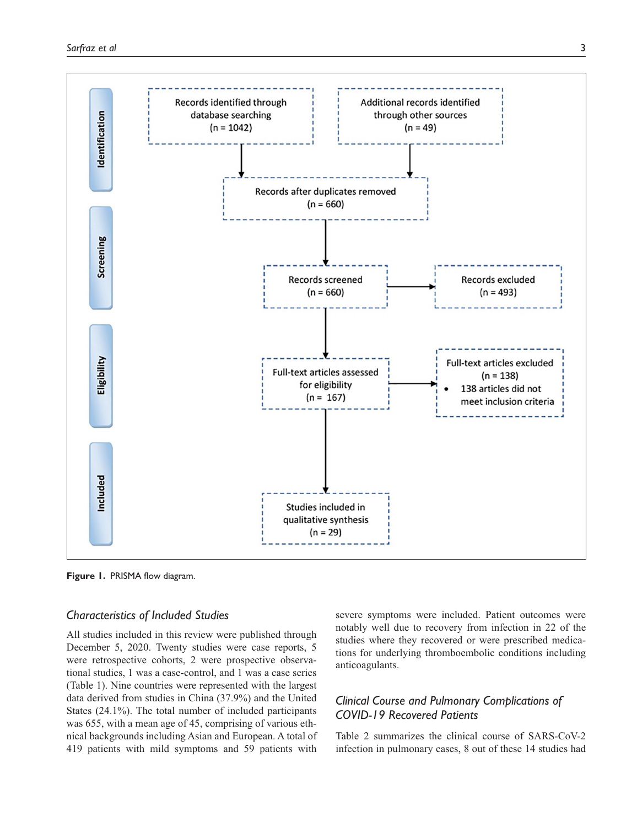

**Figure 1.** PRISMA flow diagram.

#### *Characteristics of Included Studies*

All studies included in this review were published through December 5, 2020. Twenty studies were case reports, 5 were retrospective cohorts, 2 were prospective observational studies, 1 was a case-control, and 1 was a case series (Table 1). Nine countries were represented with the largest data derived from studies in China (37.9%) and the United States (24.1%). The total number of included participants was 655, with a mean age of 45, comprising of various ethnical backgrounds including Asian and European. A total of 419 patients with mild symptoms and 59 patients with

severe symptoms were included. Patient outcomes were notably well due to recovery from infection in 22 of the studies where they recovered or were prescribed medications for underlying thromboembolic conditions including anticoagulants.

## *Clinical Course and Pulmonary Complications of COVID-19 Recovered Patients*

Table 2 summarizes the clinical course of SARS-CoV-2 infection in pulmonary cases, 8 out of these 14 studies had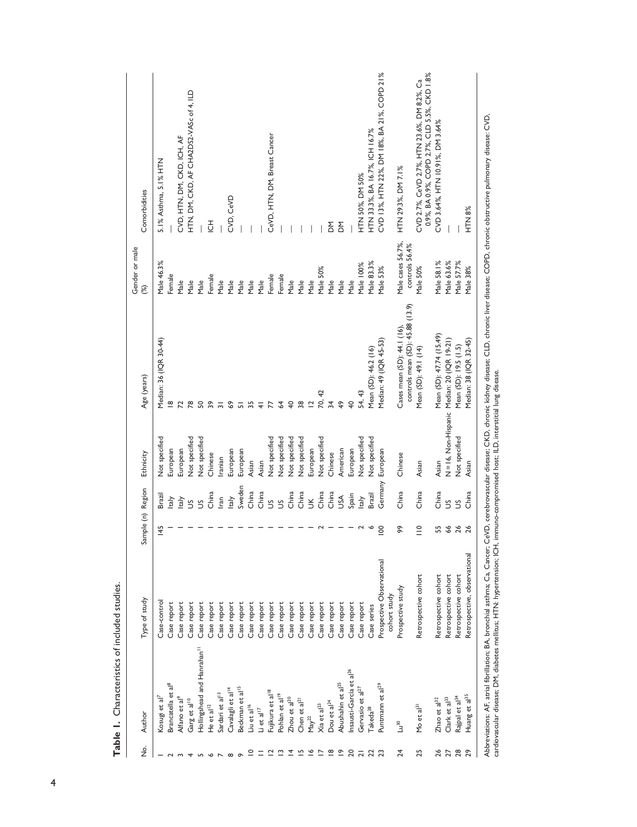| 145                                                                                                                                                                                 | <b>Brazil</b><br>taly<br>taly<br>S<br>$\mathfrak{S}$                                                                                                                                             |                      | Age (years)                                           | (%)                                                                                                                                                                                                                                                              | Comorbidities                                                                               |
|-------------------------------------------------------------------------------------------------------------------------------------------------------------------------------------|--------------------------------------------------------------------------------------------------------------------------------------------------------------------------------------------------|----------------------|-------------------------------------------------------|------------------------------------------------------------------------------------------------------------------------------------------------------------------------------------------------------------------------------------------------------------------|---------------------------------------------------------------------------------------------|
|                                                                                                                                                                                     |                                                                                                                                                                                                  | Not specified        | Median: 36 (IQR 30-44)                                | Male 46.3%                                                                                                                                                                                                                                                       | 5.1% Asthma, 5.1% HTN                                                                       |
|                                                                                                                                                                                     |                                                                                                                                                                                                  | European             | $\frac{8}{1}$                                         | Female                                                                                                                                                                                                                                                           |                                                                                             |
|                                                                                                                                                                                     |                                                                                                                                                                                                  | European             | $\overline{z}$                                        | Male                                                                                                                                                                                                                                                             | CVD, HTN, DM, CKD, ICH, AF                                                                  |
|                                                                                                                                                                                     |                                                                                                                                                                                                  | Not specified        | 78                                                    | Male                                                                                                                                                                                                                                                             | HTN, DM, CKD, AF CHA2DS2-VASc of 4, ILD                                                     |
|                                                                                                                                                                                     |                                                                                                                                                                                                  | <b>Not specified</b> | 50                                                    | Male                                                                                                                                                                                                                                                             |                                                                                             |
|                                                                                                                                                                                     | China                                                                                                                                                                                            | Chinese              | $\overline{\mathbf{3}}$                               | Female                                                                                                                                                                                                                                                           | $\overline{6}$                                                                              |
|                                                                                                                                                                                     | lran                                                                                                                                                                                             | ranian               | $\overline{3}$                                        | Male                                                                                                                                                                                                                                                             |                                                                                             |
|                                                                                                                                                                                     | taly                                                                                                                                                                                             | European             | $\mathbf{69}$                                         | Male                                                                                                                                                                                                                                                             | CVD, CeVD                                                                                   |
|                                                                                                                                                                                     | Sweden                                                                                                                                                                                           | European             |                                                       | Male                                                                                                                                                                                                                                                             |                                                                                             |
|                                                                                                                                                                                     | China                                                                                                                                                                                            | Asian                | $\frac{1}{2}$ 5 5 4                                   | Male                                                                                                                                                                                                                                                             |                                                                                             |
|                                                                                                                                                                                     | China                                                                                                                                                                                            | Asian                |                                                       | Male                                                                                                                                                                                                                                                             |                                                                                             |
|                                                                                                                                                                                     | S                                                                                                                                                                                                | Not specified        | $\overline{7}$                                        | Female                                                                                                                                                                                                                                                           | CeVD, HTN, DM, Breast Cancer                                                                |
|                                                                                                                                                                                     | S                                                                                                                                                                                                | Not specified        | 64                                                    | Female                                                                                                                                                                                                                                                           |                                                                                             |
|                                                                                                                                                                                     | China                                                                                                                                                                                            | Not specified        | $40$ $\frac{8}{2}$                                    | Male                                                                                                                                                                                                                                                             |                                                                                             |
|                                                                                                                                                                                     | China                                                                                                                                                                                            | <b>Not specified</b> |                                                       | Male                                                                                                                                                                                                                                                             |                                                                                             |
|                                                                                                                                                                                     | $\leq$                                                                                                                                                                                           | European             | $\overline{2}$                                        | Male                                                                                                                                                                                                                                                             |                                                                                             |
|                                                                                                                                                                                     | China                                                                                                                                                                                            | Not specified        | 70, 42                                                | Male 50%                                                                                                                                                                                                                                                         |                                                                                             |
|                                                                                                                                                                                     | China                                                                                                                                                                                            | Chinese              |                                                       | Male                                                                                                                                                                                                                                                             | ΣÓ                                                                                          |
|                                                                                                                                                                                     | USA                                                                                                                                                                                              | American             | 49                                                    | Male                                                                                                                                                                                                                                                             | <b>MO</b>                                                                                   |
|                                                                                                                                                                                     | Spain                                                                                                                                                                                            | European             | $\overline{40}$                                       | Male                                                                                                                                                                                                                                                             |                                                                                             |
|                                                                                                                                                                                     | taly                                                                                                                                                                                             | <b>Not specified</b> |                                                       | Male 100%                                                                                                                                                                                                                                                        | HTN 50%, DM 50%                                                                             |
| ∾                                                                                                                                                                                   | Brazil                                                                                                                                                                                           |                      | Mean (SD): 46.2 (16)                                  | Male 83.3%                                                                                                                                                                                                                                                       | HTN 33.3%, BA 16.7%, ICH 16.7%                                                              |
| 100                                                                                                                                                                                 | Germany                                                                                                                                                                                          | European             | Median: 49 (IQR 45-53)                                | Male 53%                                                                                                                                                                                                                                                         | CVD 13%, HTN 22%, DM 18%, BA 21%, COPD 21%                                                  |
| ନ୍ତ                                                                                                                                                                                 | China                                                                                                                                                                                            | Chinese              | Cases mean (SD): 44.1 (16),                           | Male cases 56.7%,                                                                                                                                                                                                                                                | HTN 29.3%, DM 7.1%                                                                          |
| $\frac{1}{10}$                                                                                                                                                                      | China                                                                                                                                                                                            |                      | Mean (SD): 49.1 (14)                                  | Male 50%                                                                                                                                                                                                                                                         | 0.9%, BA 0.9%, COPD 2.7%, CLD 5.5%, CKD 1.8%<br>CVD 2.7%, CeVD 2.7%, HTN 23.6%, DM 8.2%, Ca |
|                                                                                                                                                                                     |                                                                                                                                                                                                  |                      |                                                       | Male 58.1%                                                                                                                                                                                                                                                       | CVD 3.64%, HTN 10.91%, DM 3.64%                                                             |
| 66                                                                                                                                                                                  | S                                                                                                                                                                                                |                      |                                                       | Male 63.6%                                                                                                                                                                                                                                                       |                                                                                             |
|                                                                                                                                                                                     | S                                                                                                                                                                                                | Not specified        | Mean (SD): 19.5 (1.5)                                 | Male 57.7%                                                                                                                                                                                                                                                       |                                                                                             |
|                                                                                                                                                                                     | China                                                                                                                                                                                            | Asian                | Median: 38 (IQR 32-45)                                | Male 38%                                                                                                                                                                                                                                                         | HTN 8%                                                                                      |
| Abbreviations: AF, atrial fibrillation; BA, bronchial asthma; Ca, Cancer;<br>cohort study<br>Case report<br>Case report<br>Case report<br>Case report<br>Case report<br>Case report | 55<br>26<br>26<br>Retrospective, observational<br>Prospective Observational<br>Retrospective cohort<br>Retrospective cohort<br>Retrospective cohort<br>Retrospective cohort<br>Prospective study | China                | N=16, Non-Hispanic<br>Not specified<br>Asian<br>Asian | CeVD, cerebrovascular disease; CKD, chronic kidney disease; CLD, chronic liver disease; COPD, chronic obstructive pulmonary disease: CVD,<br>controls mean (SD): 45.88 (13.9)<br>Mean (SD): 47.74 (15.49)<br>Median: 20 (IQR 19-21)<br>54, 43<br>$\overline{34}$ | controls 56.4%                                                                              |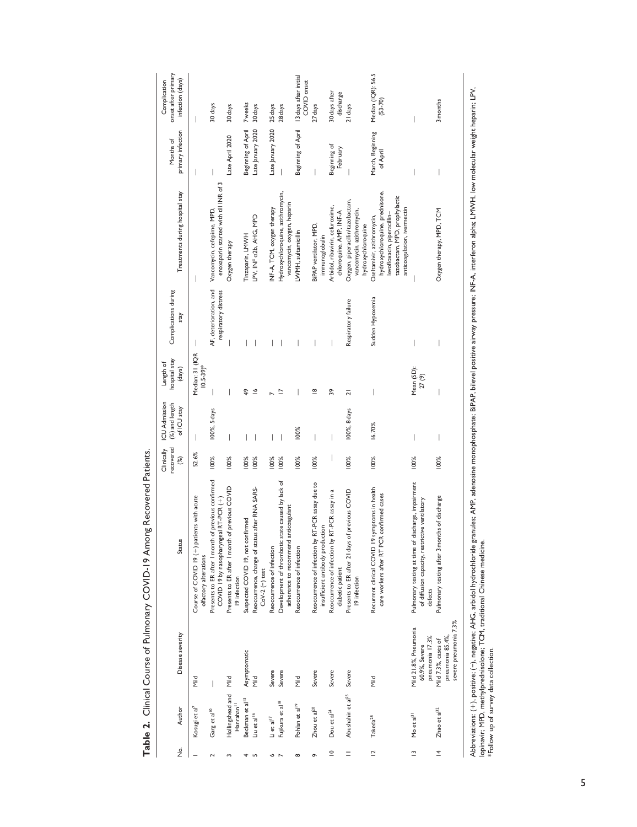| ş                        | Author                                                 | Disease severity                                                | <b>Status</b>                                                                                                                                   | Clinically<br>recovered<br>$\circledast$ | <b>ICU Admission</b><br>(%) and length<br>of ICU stay | hospital stay<br>Length of<br>(days)        | Complications during<br>stay                   | Treatments during hospital stay                                                                                                                              | primary infection<br>Months of | onset after primary<br>infection (days)<br>Complication |
|--------------------------|--------------------------------------------------------|-----------------------------------------------------------------|-------------------------------------------------------------------------------------------------------------------------------------------------|------------------------------------------|-------------------------------------------------------|---------------------------------------------|------------------------------------------------|--------------------------------------------------------------------------------------------------------------------------------------------------------------|--------------------------------|---------------------------------------------------------|
|                          |                                                        |                                                                 |                                                                                                                                                 |                                          |                                                       |                                             |                                                |                                                                                                                                                              |                                |                                                         |
|                          | Kosugi et al <sup>7</sup>                              | Nild                                                            | patients with acute<br>Course of COVID 19 (+)<br>olfactory alterations                                                                          | 52.6%                                    |                                                       | Median: 31 (IQR<br>$10.5 - 39$ <sup>*</sup> |                                                | I                                                                                                                                                            | I                              | I                                                       |
|                          | Garg et al <sup>10</sup>                               |                                                                 | Presents to ER after I month of previous confirmed<br>COVID 19 by nasopharyngeal RT-PCR (+)                                                     | 100%                                     | 100%, 5 days                                          |                                             | AF, deterioration, and<br>respiratory distress | enoxaparin started with till INR of 3<br>Vancomycin, cefepime, MPD,                                                                                          |                                | 30 days                                                 |
|                          | Hollingshead and<br>Hanrahan <sup>11</sup>             | <b>Mild</b>                                                     | Presents to ER after I month of previous COVID<br>19 infection                                                                                  | 100%                                     |                                                       |                                             |                                                | Oxygen therapy                                                                                                                                               | Late April 2020                | 30 days                                                 |
|                          | Beckman et al <sup>15</sup>                            | Asymptomatic                                                    | Suspected COVID 19, not confirmed                                                                                                               | 100%                                     |                                                       | \$                                          |                                                | Tinzaparin, LMWH                                                                                                                                             | Beginning of April             | 7 weeks                                                 |
| LO <sub>1</sub>          | Liu et al <sup>16</sup>                                | <b>Mild</b>                                                     | Reoccurrence, change of status after RNA SARS-<br>$CoV-2$ (-) test                                                                              | 100%                                     |                                                       | $\tilde{=}$                                 |                                                | LPV, INF a2b, AHG, MPD                                                                                                                                       | Late January 2020              | 30 days                                                 |
| o                        | $\mathsf{Li}\ \mathsf{et}\ \mathsf{al}^{\mathsf{I} 7}$ | Severe                                                          | Reoccurrence of infection                                                                                                                       | 100%                                     |                                                       |                                             |                                                | INF-A, TCM, oxygen therapy                                                                                                                                   | Late January 2020              | 25 days                                                 |
| $\overline{ }$           | Fujikura et al <sup>18</sup>                           | Severe                                                          | Development of thrombotic state caused by lack of<br>adherence to recommend anticoagulant                                                       | 100%                                     |                                                       | $\overline{a}$                              |                                                | Hydroxychloroquine, azithromycin,<br>vancomycin, oxygen, heparin                                                                                             |                                | 28 days                                                 |
| $\infty$                 | Pohlan et al <sup>19</sup>                             | Mild                                                            | Reoccurrence of infection                                                                                                                       | 100%                                     | 100%                                                  |                                             |                                                | LWMH, sultamicillin                                                                                                                                          | Beginning of April             | 13 days after initial<br>COVID onset                    |
| ᡐ                        | Zhou et al <sup>20</sup>                               | Severe                                                          | by RT-PCR assay due to<br>insufficient antibody production<br>Reoccurrence of infection                                                         | 100%                                     |                                                       | $\frac{8}{1}$                               |                                                | BiPAP ventilator, MPD,<br>immunoglobulin                                                                                                                     |                                | 27 days                                                 |
| $\subseteq$              | Dou et al <sup>24</sup>                                | Severe                                                          | by RT-PCR assay in a<br>Reoccurrence of infection<br>diabetic patient                                                                           |                                          |                                                       | 39                                          |                                                | Arbidol, ribavirin, cefuroxime,<br>chloroquine, AMP, INF-A                                                                                                   | Beginning of<br>February       | 30 days after<br>discharge                              |
| $=$                      | Abushahin et al <sup>25</sup>                          | Severe                                                          | Presents to ER after 21 days of previous COVID<br>19 infection                                                                                  | 100%                                     | 100%, 8 days                                          | ā                                           | Respiratory failure                            | Oxygen, piperacillin/tazobactam,<br>vancomycin, azithromycin,<br>hydroxychloroquine                                                                          |                                | 21 days                                                 |
| $\overline{\phantom{0}}$ | Takeda <sup>28</sup>                                   | <b>Mild</b>                                                     | 19 symptoms in health<br>PCR confirmed cases<br>Recurrent clinical COVID<br>care workers after RT                                               | 100%                                     | 16.70%                                                |                                             | Sudden Hypoxemia                               | hydroxychloroquine, prednisone,<br>tazobactam, MPD, prophylactic<br>anticoagulation, ivermectin<br>levofloxacin, piperacillin-<br>Oseltamivir, azithromycin, | March, Beginning<br>of April   | Median (IQR): 56.5<br>$(53 - 70)$                       |
| $\tilde{ }$              | Mo et al <sup>31</sup>                                 | Mild 21.8%, Pneumonia<br>pneumonia 17.3%<br>60.9%, Severe       | Pulmonary testing at time of discharge, impairment<br>of diffusion capacity, restrictive ventilatory<br>defects                                 | 100%                                     |                                                       | Mean (SD):<br>27(9)                         |                                                |                                                                                                                                                              |                                |                                                         |
| $\overline{4}$           | $Z$ hao et al $^{32}$                                  | severe pneumonia 7.3%<br>pneumonia 85.4%<br>Mild 7.3%, cases of | Pulmonary testing after 3 months of discharge                                                                                                   | 100%                                     |                                                       |                                             |                                                | Oxygen therapy, MPD, TCM                                                                                                                                     |                                | 3 months                                                |
|                          | *Follow up of survey data collection.                  |                                                                 | Abbreviations: (+), positive; (-), negative; AHG, arbidol hydrochloride<br>lopinavir; MPD, methylprednisolone; TCM, traditional Chinese medicin |                                          |                                                       |                                             |                                                | granules; AMP, adenosine monophosphate; BIPAP, bilevel positive airway pressure; INF-A, interferon alpha: LMWH, low molecular weight heparin; LPV,           |                                |                                                         |

Table 2. Clinical Course of Pulmonary COVID-19 Among Recovered Patients. **Table 2.** Clinical Course of Pulmonary COVID-19 Among Recovered Patients.

5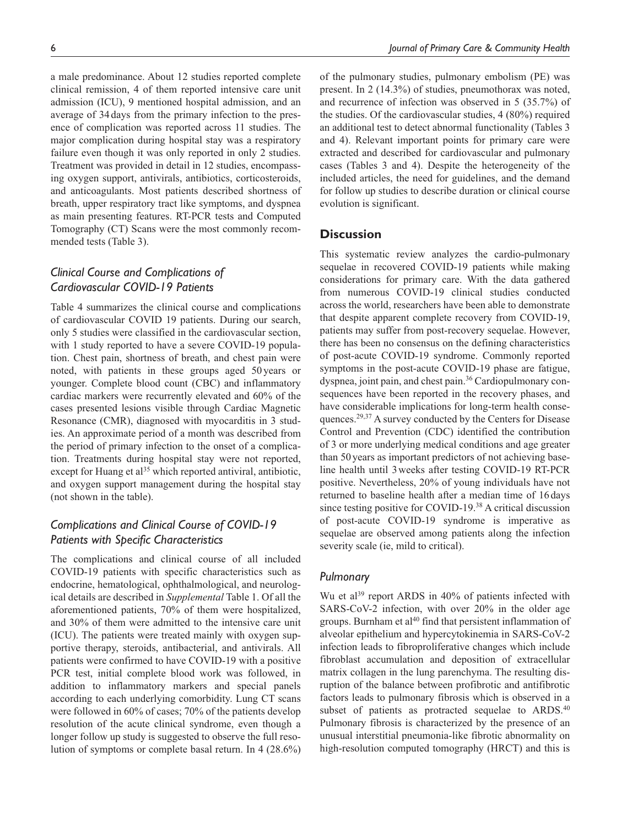a male predominance. About 12 studies reported complete clinical remission, 4 of them reported intensive care unit admission (ICU), 9 mentioned hospital admission, and an average of 34days from the primary infection to the presence of complication was reported across 11 studies. The major complication during hospital stay was a respiratory failure even though it was only reported in only 2 studies. Treatment was provided in detail in 12 studies, encompassing oxygen support, antivirals, antibiotics, corticosteroids, and anticoagulants. Most patients described shortness of breath, upper respiratory tract like symptoms, and dyspnea as main presenting features. RT-PCR tests and Computed Tomography (CT) Scans were the most commonly recommended tests (Table 3).

## *Clinical Course and Complications of Cardiovascular COVID-19 Patients*

Table 4 summarizes the clinical course and complications of cardiovascular COVID 19 patients. During our search, only 5 studies were classified in the cardiovascular section, with 1 study reported to have a severe COVID-19 population. Chest pain, shortness of breath, and chest pain were noted, with patients in these groups aged 50 years or younger. Complete blood count (CBC) and inflammatory cardiac markers were recurrently elevated and 60% of the cases presented lesions visible through Cardiac Magnetic Resonance (CMR), diagnosed with myocarditis in 3 studies. An approximate period of a month was described from the period of primary infection to the onset of a complication. Treatments during hospital stay were not reported, except for Huang et al<sup>35</sup> which reported antiviral, antibiotic, and oxygen support management during the hospital stay (not shown in the table).

## *Complications and Clinical Course of COVID-19 Patients with Specific Characteristics*

The complications and clinical course of all included COVID-19 patients with specific characteristics such as endocrine, hematological, ophthalmological, and neurological details are described in *Supplemental* Table 1. Of all the aforementioned patients, 70% of them were hospitalized, and 30% of them were admitted to the intensive care unit (ICU). The patients were treated mainly with oxygen supportive therapy, steroids, antibacterial, and antivirals. All patients were confirmed to have COVID-19 with a positive PCR test, initial complete blood work was followed, in addition to inflammatory markers and special panels according to each underlying comorbidity. Lung CT scans were followed in 60% of cases; 70% of the patients develop resolution of the acute clinical syndrome, even though a longer follow up study is suggested to observe the full resolution of symptoms or complete basal return. In 4 (28.6%) of the pulmonary studies, pulmonary embolism (PE) was present. In 2 (14.3%) of studies, pneumothorax was noted, and recurrence of infection was observed in 5 (35.7%) of the studies. Of the cardiovascular studies, 4 (80%) required an additional test to detect abnormal functionality (Tables 3 and 4). Relevant important points for primary care were extracted and described for cardiovascular and pulmonary cases (Tables 3 and 4). Despite the heterogeneity of the included articles, the need for guidelines, and the demand for follow up studies to describe duration or clinical course evolution is significant.

#### **Discussion**

This systematic review analyzes the cardio-pulmonary sequelae in recovered COVID-19 patients while making considerations for primary care. With the data gathered from numerous COVID-19 clinical studies conducted across the world, researchers have been able to demonstrate that despite apparent complete recovery from COVID-19, patients may suffer from post-recovery sequelae. However, there has been no consensus on the defining characteristics of post-acute COVID-19 syndrome. Commonly reported symptoms in the post-acute COVID-19 phase are fatigue, dyspnea, joint pain, and chest pain.<sup>36</sup> Cardiopulmonary consequences have been reported in the recovery phases, and have considerable implications for long-term health consequences.<sup>29,37</sup> A survey conducted by the Centers for Disease Control and Prevention (CDC) identified the contribution of 3 or more underlying medical conditions and age greater than 50 years as important predictors of not achieving baseline health until 3weeks after testing COVID-19 RT-PCR positive. Nevertheless, 20% of young individuals have not returned to baseline health after a median time of 16 days since testing positive for COVID-19.<sup>38</sup> A critical discussion of post-acute COVID-19 syndrome is imperative as sequelae are observed among patients along the infection severity scale (ie, mild to critical).

#### *Pulmonary*

Wu et al<sup>39</sup> report ARDS in 40% of patients infected with SARS-CoV-2 infection, with over 20% in the older age groups. Burnham et  $al^{40}$  find that persistent inflammation of alveolar epithelium and hypercytokinemia in SARS-CoV-2 infection leads to fibroproliferative changes which include fibroblast accumulation and deposition of extracellular matrix collagen in the lung parenchyma. The resulting disruption of the balance between profibrotic and antifibrotic factors leads to pulmonary fibrosis which is observed in a subset of patients as protracted sequelae to ARDS.<sup>40</sup> Pulmonary fibrosis is characterized by the presence of an unusual interstitial pneumonia-like fibrotic abnormality on high-resolution computed tomography (HRCT) and this is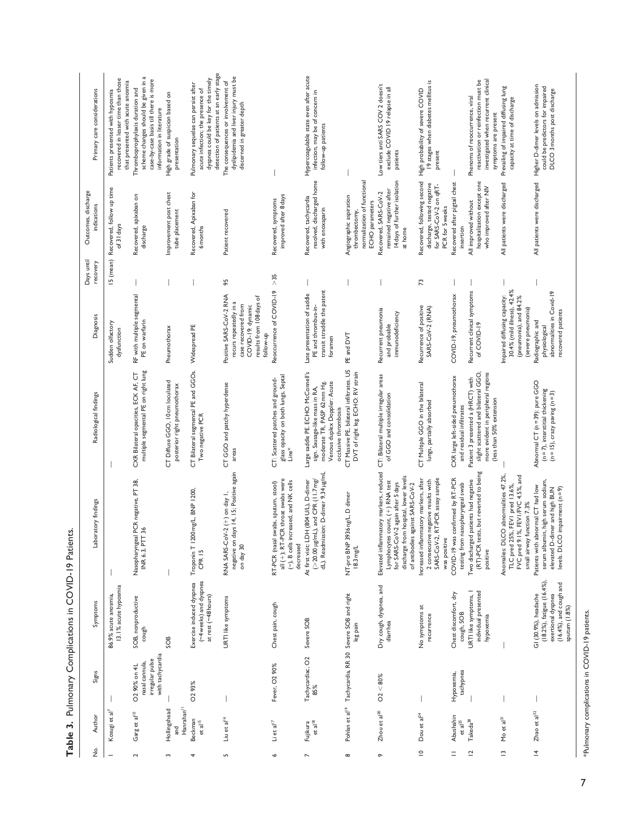| Primary care considerations        | recovered in lesser time than those<br>that presented with acute anosmia<br>Patients presented with hyposmia | scheme changes should be given in a<br>case-by-case basis till there is more<br>Thromboprophylaxis duration and<br>information in literature | High grade of suspicion based on                               | detection of patients at an early stage<br>dyspnea could be key for the timely<br>Pulmonary sequelae can persist after<br>acute infection; the presence of | dyslipidemia and liver injury must be<br>The consequences or involvement of<br>discerned in greater depth                              |                                                                                                                               | Hypercoagulable state even after acute<br>infection, may be of concern in                                                                                   |                                                                                            | Low tiers anti SARS COV 2 doesn't<br>exclude COVID 19 relapse in all                                                                                                                        | 19 stages when diabetes mellitus is<br>High probability of severe COVID                                                         |                                                                         | reactivation or reinfection must be<br>investigated when recurrent clinical<br>Phenoms of reoccurrence, viral                              | Prevailing of impaired diffusing lung<br>capacity at time of discharge                                                                      | Higher D-dimer levels on admission<br>could be predictors for impaired<br>DLCO 3 months post discharge                                   |
|------------------------------------|--------------------------------------------------------------------------------------------------------------|----------------------------------------------------------------------------------------------------------------------------------------------|----------------------------------------------------------------|------------------------------------------------------------------------------------------------------------------------------------------------------------|----------------------------------------------------------------------------------------------------------------------------------------|-------------------------------------------------------------------------------------------------------------------------------|-------------------------------------------------------------------------------------------------------------------------------------------------------------|--------------------------------------------------------------------------------------------|---------------------------------------------------------------------------------------------------------------------------------------------------------------------------------------------|---------------------------------------------------------------------------------------------------------------------------------|-------------------------------------------------------------------------|--------------------------------------------------------------------------------------------------------------------------------------------|---------------------------------------------------------------------------------------------------------------------------------------------|------------------------------------------------------------------------------------------------------------------------------------------|
|                                    |                                                                                                              |                                                                                                                                              | presentation                                                   |                                                                                                                                                            |                                                                                                                                        |                                                                                                                               | follow-up patients                                                                                                                                          |                                                                                            | patients                                                                                                                                                                                    | present                                                                                                                         |                                                                         | symptoms are present                                                                                                                       |                                                                                                                                             |                                                                                                                                          |
| Outcomes, discharge<br>indications | Recovered, follow up time<br>of 31 days                                                                      | Recovered, apixaban on<br>discharge                                                                                                          | Improvement post chest<br>tube placement                       | Recovered, Apixaban for<br>6 months                                                                                                                        | Patient recovered                                                                                                                      | improved after 8 days<br>Recovered, symptoms                                                                                  | resolved, discharged home<br>Recovered, tachycardia<br>with enoxaparin                                                                                      | normalization of functional<br>Angiographic aspiration<br>ECHO parameters<br>thrombectomy, | 14 days of further isolation<br>remained negative after<br>Recovered, SARS-CoV-2<br>at home                                                                                                 | Recovered, following second<br>discharge, tested negative<br>for SARS-CoV-2 on qRT-<br>PCR for 5 weeks                          | Recovered after pigtail chest<br>insertion                              | hospitalization except one<br>who improved after NIV<br>All improved without                                                               | All patients were discharged                                                                                                                | All patients were discharged                                                                                                             |
| Days until<br>recovery             | 15 (mean)                                                                                                    |                                                                                                                                              |                                                                |                                                                                                                                                            | 95                                                                                                                                     | >35                                                                                                                           |                                                                                                                                                             |                                                                                            |                                                                                                                                                                                             | 73                                                                                                                              |                                                                         |                                                                                                                                            |                                                                                                                                             |                                                                                                                                          |
| <b>Diagnosis</b>                   | Sudden olfactory<br>dysfunction                                                                              | RF with multiple segmental<br>PE on warfarin                                                                                                 | Pneumothorax                                                   | Widespread PE                                                                                                                                              | Positive SARS-CoV-2 RNA<br>results from 108 days of<br>recurs repeatedly in a<br>case recovered from<br>COVID-19: dynamic<br>follow-up | Reoccurrence of COVID-19                                                                                                      | transit straddle the patent<br>Late presentation of saddle<br>PE and thrombus-in-<br>foramen                                                                | PE and DVT                                                                                 | Recurrent pneumonia<br>immunodeficiency<br>and probable                                                                                                                                     | Recurrence of positive<br>SARS-CoV-2 (RNA)                                                                                      | COVID-19, pneumothorax                                                  | Recurrent clinical symptoms<br>of COVID-19                                                                                                 | 30.4% (mild illness), 42.4%<br>Impaired diffusing capacity:<br>(pneumonia), and 84.2%<br>(severe pneumonia)                                 | abnormalities in Covid-19<br>recovered patients<br>Radiographic and<br>physiological                                                     |
| Radiological findings              |                                                                                                              | multiple segmental PE on right lung<br>CXR Bilateral opacities, ECK AF, CT                                                                   | CT Diffuse GGO, 10cm loculated<br>posterior right pneumothorax | CT Bilateral segmental PE and GGOs.<br>Two negative PCR                                                                                                    | CT GGO and patchy hyperdense<br>areas                                                                                                  | glass opacity on both lungs, Septal<br>CT: Scattered patches and ground-<br>Line*                                             | Large saddle PE. ECHO: McConnell's<br>Venous duplex Doppler: Acute<br>moderate TR, PASP 62 mm Hg.<br>sign. Sausage-like mass in RA,<br>occlusive thrombosis | CT Massive PE, bilateral infiltrates. US<br>DVT of right leg. ECHO: RV strain              | CT: Bilateral multiple irregular areas<br>of GGO and consolidation                                                                                                                          | CT Multiple GGO in the bilateral<br>lungs, partially absorbed                                                                   | CXR large left-sided pneumothorax<br>and residual infiltrates           | slight scattered and bilateral GGO,<br>more evident in peripheral regions<br>Patient 3 presented a (HRCT) with<br>(less than 50% extension |                                                                                                                                             | Abnormal CT (n=39): pure GGO<br>$(n = 7)$ , interstitial thickening<br>$(n = 15)$ , crazy paving $(n = 3)$                               |
| Laboratory findings                |                                                                                                              | ngeal PCR negative, PT 38,<br>PTT <sub>36</sub><br>Nasophary<br>INR 6.3                                                                      |                                                                | 1200 mg/L, BNP 1200,<br>Troponin <sub>1</sub><br>CPR <sub>15</sub>                                                                                         | negative on days 14, 15; Positive again<br>RNA SARS-CoV-2 (+) on day 1,<br>on day 30                                                   | all (+); RT-PCR throat swabs were<br>(-), B cells increased, and NK cells<br>RT-PCR (nasal swabs, sputum, stool)<br>decreased | dL). Readmission: D-dimer 9.34 µg/mL<br>At first visit: LDH (804 U/L), D-dimer<br>$(20.00 \mu g/mL)$ , and CPR (11.7 mg/                                    | NT-pro BNP 3936 ng/L, D dimer<br>$18.3 \text{ mg/L}$                                       | Elevated inflammatory markers, reduced<br>discharge from hospital, lower levels<br>Lymphocytes count, (+) RNA test<br>for SARS-CoV-2 again after 5 days<br>of antibodies against SARS-CoV-2 | Increased inflammatory markers, after<br>SARS-CoV-2, RT-PCR assay sample<br>2 consecutive negative results with<br>was positive | was confirmed by RT-PCR<br>testing from nasopharyngeal swab<br>COVID-19 | (RT)-PCR tests, but reverted to being<br>Two discharged patients had negative<br>positive                                                  | DLCO abnormalities 47.2%<br>FVC pred 9.1%, FEVI/FVC 4.5%, and<br>TLC pred 25%, FEVI pred 13.6%,<br>small airway function 7.3%<br>Anomalies: | serum albumin, high serum sodium,<br>Patients with abnormal CT had low<br>elevated D-dimer and high BUN<br>levels. DLCO impairment (n=9) |
| Symptoms                           | 13.1% acute hyposmia<br>86.9% acute anosmia,                                                                 | SOB, nonproductive<br>cough                                                                                                                  | SOB                                                            | (~4 weeks) and dyspnea<br>Exercise induced dyspnea<br>at rest (~48 hours)                                                                                  | URTI like symptoms                                                                                                                     | Chest pain, cough                                                                                                             | Severe SOB                                                                                                                                                  | Pohlan et al <sup>19</sup> Tachycardia, RR 30 Severe SOB and right<br>leg pain             | Dry cough, dyspnea, and<br>diarrhea                                                                                                                                                         | No symptoms at<br>recurrence                                                                                                    | Chest discomfort, dry<br>cough, SOB                                     | URTI like symptoms, I<br>individual presented<br>hypoxemia                                                                                 |                                                                                                                                             | $(18.2\%)$ , fatigue $(16.4\%)$ ,<br>$(16.4\%)$ , and cough and<br>GI (30.9%), headache<br>exertional dyspnea<br>sputum (1.8%)           |
| Signs                              |                                                                                                              | with tachycardia<br>irregular pulse<br>nasal cannula,<br>O2 90% on 4L                                                                        |                                                                | O <sub>2</sub> 93%                                                                                                                                         |                                                                                                                                        | Fever, O <sub>2</sub> 90%                                                                                                     | Tachycardiac, O2<br>85%                                                                                                                                     |                                                                                            | $O2 < 80\%$                                                                                                                                                                                 |                                                                                                                                 | tachypnea<br>Hypoxemia,                                                 |                                                                                                                                            |                                                                                                                                             |                                                                                                                                          |
| Author                             | Kosugi et al <sup>7</sup>                                                                                    | Garg et al <sup>10</sup>                                                                                                                     | Hanrahan <sup>11</sup><br>Hollingshead<br>and                  | Beckman<br>et al <sup>15</sup>                                                                                                                             | Liu et al <sup>16</sup>                                                                                                                | $\mathsf{Li}\ \mathsf{et}\ \mathsf{al}^{17}$                                                                                  | Fujikura<br>et al <sup>18</sup>                                                                                                                             |                                                                                            | Zhou et al <sup>20</sup>                                                                                                                                                                    | Dou et al <sup>24</sup>                                                                                                         | Abushahin<br>et al $^{\rm 25}$                                          | $\mathsf{Takeda}^\mathsf{28}$                                                                                                              | Mo et al <sup>31</sup>                                                                                                                      | Zhao et al <sup>32</sup>                                                                                                                 |
| ż                                  |                                                                                                              | 2                                                                                                                                            | S                                                              | 4                                                                                                                                                          | S                                                                                                                                      | P                                                                                                                             | $\overline{ }$                                                                                                                                              | $\infty$                                                                                   | ò                                                                                                                                                                                           | $\subseteq$                                                                                                                     | $=$                                                                     | $\overline{\phantom{a}}$                                                                                                                   | $\tilde{=}$                                                                                                                                 | $\overline{4}$                                                                                                                           |

Table 3. Pulmonary Complications in COVID-19 Patients. **Table 3.** Pulmonary Complications in COVID-19 Patients.

\*Pulmonary complications in COVID-19 patients. \*Pulmonary complications in COVID-19 patients.

 $\overline{\phantom{a}}$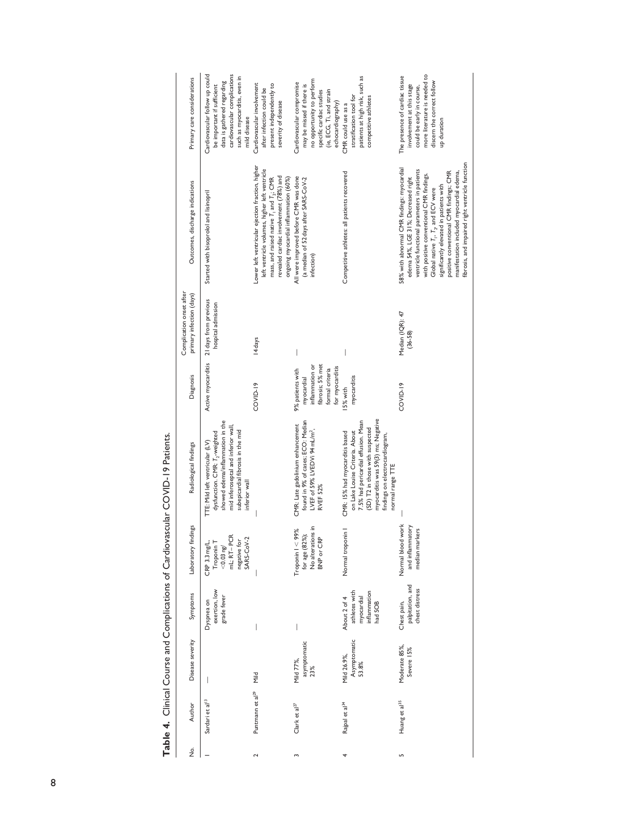| Í                                   |
|-------------------------------------|
| -<br>-<br>-<br>-<br>-               |
| :                                   |
| ֚֚֚֚֚֚֚֚֚֚֡                         |
| $\ddot{\phantom{a}}$<br>ļ<br>ï<br>I |
| I                                   |
|                                     |
|                                     |

| ģ | Author                       | Disease severity                     | Symptoms                                                               | Laboratory findings                                                                                | Radiological findings                                                                                                                                                                                                                  | Diagnosis                                                                                                   | Complication onset after<br>primary infection (days) | Outcomes, discharge indications                                                                                                                                                                                                                                                                                                                                                                                | Primary care considerations                                                                                                                                                |
|---|------------------------------|--------------------------------------|------------------------------------------------------------------------|----------------------------------------------------------------------------------------------------|----------------------------------------------------------------------------------------------------------------------------------------------------------------------------------------------------------------------------------------|-------------------------------------------------------------------------------------------------------------|------------------------------------------------------|----------------------------------------------------------------------------------------------------------------------------------------------------------------------------------------------------------------------------------------------------------------------------------------------------------------------------------------------------------------------------------------------------------------|----------------------------------------------------------------------------------------------------------------------------------------------------------------------------|
|   | Sardari et al <sup>13</sup>  |                                      | exertion, low<br>grade fever<br>Dyspnea on                             | mL; RT-PCR<br>SARS-CoV-2<br>negative for<br>CRP 3.3 mg/L,<br>Troponin <sub>1</sub><br>$<$ 0.03 ng/ | showed edema/inflammation in the<br>mid inferoseptal and inferior wall<br>subepicardial fibrosis in the mid<br>dysfunction. CMR: T <sub>2</sub> -weighted<br>ITE: Mild left ventricular (LV)<br>inferior wall                          | Active myocarditis                                                                                          | 21 days from previous<br>hospital admission          | Started with bisoprolol and lisinopril                                                                                                                                                                                                                                                                                                                                                                         | cardiovascular complications<br>Cardiovascular follow up could<br>such as myocarditis, even in<br>data is gathered regarding<br>be important if sufficient<br>mild disease |
|   | Puntmann et al <sup>29</sup> | Mild                                 |                                                                        |                                                                                                    |                                                                                                                                                                                                                                        | COVID-19                                                                                                    | I4 days                                              | Lower left ventricular ejection fraction, higher<br>left ventricle volumes, higher left ventricle<br>revealed cardiac involvement (78%) and<br>mass, and raised native $T_1$ and $T_2$ ; CMR<br>ongoing myocardial inflammation (60%)                                                                                                                                                                          | Cardiovascular involvement<br>present independently to<br>after infection could be<br>severity of disease                                                                  |
|   | Clark et $a^{27}$            | asymptomatic<br>Mild 77%,<br>23%     |                                                                        | for age (82%);<br>No alterations in<br>Troponin I < 99%<br>BNP or CRP                              | found in 9% of cases; ECO: Median<br>CMR: Late gadolinium enhancement<br>LVEF of 59% LVEDVI 94 mL/m <sup>2</sup> ,<br>RVEF 52%                                                                                                         | inflammation or<br>fibrosis; 5% met<br>for myocarditis<br>formal criteria<br>9% patients with<br>myocardial |                                                      | All were improved before CMR was done<br>(a median of 52 days after SARS-CoV-2<br>infection)                                                                                                                                                                                                                                                                                                                   | no opportunity to perform<br>Cardiovascular compromise<br>may be missed if there is<br>(ie, ECG, Ti, and strain<br>specific cardiac studies<br>echocardiography)           |
|   | Rajpal et al <sup>34</sup>   | Asymptomatic<br>Mild 26.9%,<br>53.8% | athletes with<br>inflammation<br>myocardial<br>About 2 of 4<br>had SOB | Normal troponin                                                                                    | myocarditis was 59(3) ms; Negative<br>7.5% had pericardial effusion. Mean<br>(SD) T2 in those with suspected<br>on Lake Louise Criteria. About<br>CMR: 15% had myocarditis based<br>findings on electrocardiogram,<br>normal range TTE | myocarditis<br>I5% with                                                                                     |                                                      | Competitive athletes: all patients recovered                                                                                                                                                                                                                                                                                                                                                                   | patients at high risk, such as<br>stratification tool for<br>competitive athletes<br>CMR could use as a                                                                    |
|   | Huang et al <sup>35</sup>    | Moderate 85%,<br>Severe 15%          | palpitation, and<br>chest distress<br>Chest pain,                      | work<br>and inflammatory<br>median markers<br>Normal blood                                         |                                                                                                                                                                                                                                        | COVID-19                                                                                                    | Median (IQR): 47<br>$(36 - 58)$                      | ibrosis, and impaired right ventricle function<br>58% with abnormal CMR findings: myocardial<br>ventricle functional parameters in patients<br>manifestation included myocardial edema,<br>positive conventional CMR findings; CMR<br>with positive conventional CMR findings.<br>edema 54%, LGE 31%; Decreased right<br>significantly elevated in patients with<br>Global native $T_1$ , $T_2$ , and ECV were | more literature is needed to<br>The presence of cardiac tissue<br>discern the correct follow<br>involvement at this stage<br>could be early in course,<br>up duration      |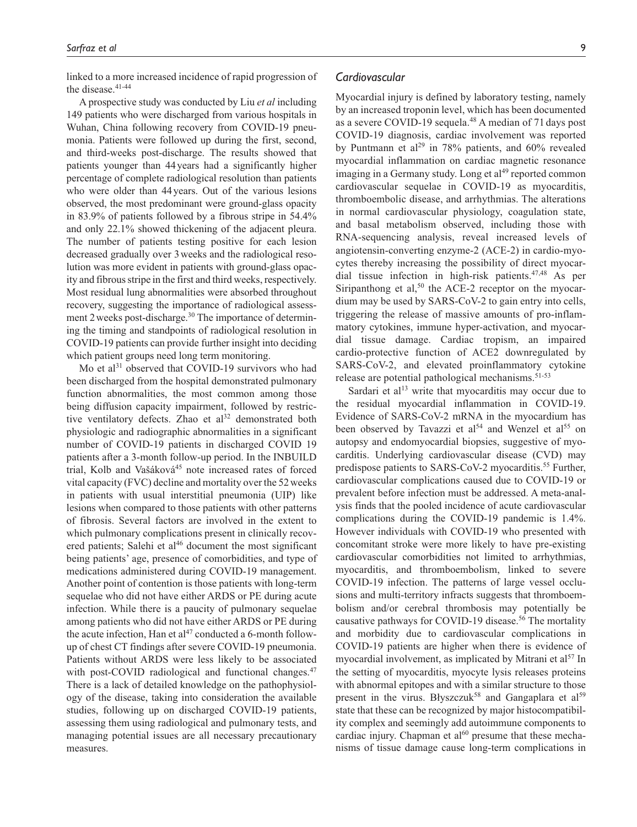linked to a more increased incidence of rapid progression of the disease.<sup>41-44</sup>

A prospective study was conducted by Liu *et al* including 149 patients who were discharged from various hospitals in Wuhan, China following recovery from COVID-19 pneumonia. Patients were followed up during the first, second, and third-weeks post-discharge. The results showed that patients younger than 44years had a significantly higher percentage of complete radiological resolution than patients who were older than 44years. Out of the various lesions observed, the most predominant were ground-glass opacity in 83.9% of patients followed by a fibrous stripe in 54.4% and only 22.1% showed thickening of the adjacent pleura. The number of patients testing positive for each lesion decreased gradually over 3weeks and the radiological resolution was more evident in patients with ground-glass opacity and fibrous stripe in the first and third weeks, respectively. Most residual lung abnormalities were absorbed throughout recovery, suggesting the importance of radiological assessment 2 weeks post-discharge.<sup>30</sup> The importance of determining the timing and standpoints of radiological resolution in COVID-19 patients can provide further insight into deciding which patient groups need long term monitoring.

Mo et al $31$  observed that COVID-19 survivors who had been discharged from the hospital demonstrated pulmonary function abnormalities, the most common among those being diffusion capacity impairment, followed by restrictive ventilatory defects. Zhao et al<sup>32</sup> demonstrated both physiologic and radiographic abnormalities in a significant number of COVID-19 patients in discharged COVID 19 patients after a 3-month follow-up period. In the INBUILD trial, Kolb and Vašáková<sup>45</sup> note increased rates of forced vital capacity (FVC) decline and mortality over the 52weeks in patients with usual interstitial pneumonia (UIP) like lesions when compared to those patients with other patterns of fibrosis. Several factors are involved in the extent to which pulmonary complications present in clinically recovered patients; Salehi et  $al<sup>46</sup>$  document the most significant being patients' age, presence of comorbidities, and type of medications administered during COVID-19 management. Another point of contention is those patients with long-term sequelae who did not have either ARDS or PE during acute infection. While there is a paucity of pulmonary sequelae among patients who did not have either ARDS or PE during the acute infection, Han et  $al^{47}$  conducted a 6-month followup of chest CT findings after severe COVID-19 pneumonia. Patients without ARDS were less likely to be associated with post-COVID radiological and functional changes.<sup>47</sup> There is a lack of detailed knowledge on the pathophysiology of the disease, taking into consideration the available studies, following up on discharged COVID-19 patients, assessing them using radiological and pulmonary tests, and managing potential issues are all necessary precautionary measures.

#### *Cardiovascular*

Myocardial injury is defined by laboratory testing, namely by an increased troponin level, which has been documented as a severe COVID-19 sequela.48 A median of 71 days post COVID-19 diagnosis, cardiac involvement was reported by Puntmann et al<sup>29</sup> in 78% patients, and 60% revealed myocardial inflammation on cardiac magnetic resonance imaging in a Germany study. Long et  $al<sup>49</sup>$  reported common cardiovascular sequelae in COVID-19 as myocarditis, thromboembolic disease, and arrhythmias. The alterations in normal cardiovascular physiology, coagulation state, and basal metabolism observed, including those with RNA-sequencing analysis, reveal increased levels of angiotensin-converting enzyme-2 (ACE-2) in cardio-myocytes thereby increasing the possibility of direct myocardial tissue infection in high-risk patients.47,48 As per Siripanthong et al,<sup>50</sup> the ACE-2 receptor on the myocardium may be used by SARS-CoV-2 to gain entry into cells, triggering the release of massive amounts of pro-inflammatory cytokines, immune hyper-activation, and myocardial tissue damage. Cardiac tropism, an impaired cardio-protective function of ACE2 downregulated by SARS-CoV-2, and elevated proinflammatory cytokine release are potential pathological mechanisms.51-53

Sardari et al<sup>13</sup> write that myocarditis may occur due to the residual myocardial inflammation in COVID-19. Evidence of SARS-CoV-2 mRNA in the myocardium has been observed by Tavazzi et al<sup>54</sup> and Wenzel et al<sup>55</sup> on autopsy and endomyocardial biopsies, suggestive of myocarditis. Underlying cardiovascular disease (CVD) may predispose patients to SARS-CoV-2 myocarditis.<sup>55</sup> Further, cardiovascular complications caused due to COVID-19 or prevalent before infection must be addressed. A meta-analysis finds that the pooled incidence of acute cardiovascular complications during the COVID-19 pandemic is 1.4%. However individuals with COVID-19 who presented with concomitant stroke were more likely to have pre-existing cardiovascular comorbidities not limited to arrhythmias, myocarditis, and thromboembolism, linked to severe COVID-19 infection. The patterns of large vessel occlusions and multi-territory infracts suggests that thromboembolism and/or cerebral thrombosis may potentially be causative pathways for COVID-19 disease.<sup>56</sup> The mortality and morbidity due to cardiovascular complications in COVID-19 patients are higher when there is evidence of myocardial involvement, as implicated by Mitrani et al<sup>57</sup> In the setting of myocarditis, myocyte lysis releases proteins with abnormal epitopes and with a similar structure to those present in the virus. Błyszczuk<sup>58</sup> and Gangaplara et al<sup>59</sup> state that these can be recognized by major histocompatibility complex and seemingly add autoimmune components to cardiac injury. Chapman et  $al^{60}$  presume that these mechanisms of tissue damage cause long-term complications in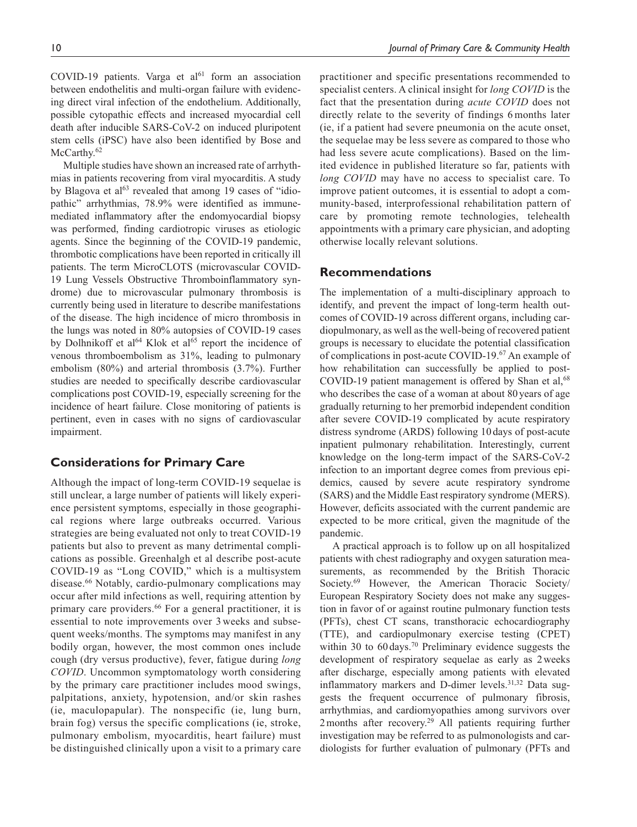COVID-19 patients. Varga et  $al<sup>61</sup>$  form an association between endothelitis and multi-organ failure with evidencing direct viral infection of the endothelium. Additionally, possible cytopathic effects and increased myocardial cell death after inducible SARS-CoV-2 on induced pluripotent stem cells (iPSC) have also been identified by Bose and McCarthy.<sup>62</sup>

Multiple studies have shown an increased rate of arrhythmias in patients recovering from viral myocarditis. A study by Blagova et  $al^{63}$  revealed that among 19 cases of "idiopathic" arrhythmias, 78.9% were identified as immunemediated inflammatory after the endomyocardial biopsy was performed, finding cardiotropic viruses as etiologic agents. Since the beginning of the COVID-19 pandemic, thrombotic complications have been reported in critically ill patients. The term MicroCLOTS (microvascular COVID-19 Lung Vessels Obstructive Thromboinflammatory syndrome) due to microvascular pulmonary thrombosis is currently being used in literature to describe manifestations of the disease. The high incidence of micro thrombosis in the lungs was noted in 80% autopsies of COVID-19 cases by Dolhnikoff et al<sup>64</sup> Klok et al<sup>65</sup> report the incidence of venous thromboembolism as 31%, leading to pulmonary embolism (80%) and arterial thrombosis (3.7%). Further studies are needed to specifically describe cardiovascular complications post COVID-19, especially screening for the incidence of heart failure. Close monitoring of patients is pertinent, even in cases with no signs of cardiovascular impairment.

#### **Considerations for Primary Care**

Although the impact of long-term COVID-19 sequelae is still unclear, a large number of patients will likely experience persistent symptoms, especially in those geographical regions where large outbreaks occurred. Various strategies are being evaluated not only to treat COVID-19 patients but also to prevent as many detrimental complications as possible. Greenhalgh et al describe post-acute COVID-19 as "Long COVID," which is a multisystem disease.<sup>66</sup> Notably, cardio-pulmonary complications may occur after mild infections as well, requiring attention by primary care providers.<sup>66</sup> For a general practitioner, it is essential to note improvements over 3 weeks and subsequent weeks/months. The symptoms may manifest in any bodily organ, however, the most common ones include cough (dry versus productive), fever, fatigue during *long COVID*. Uncommon symptomatology worth considering by the primary care practitioner includes mood swings, palpitations, anxiety, hypotension, and/or skin rashes (ie, maculopapular). The nonspecific (ie, lung burn, brain fog) versus the specific complications (ie, stroke, pulmonary embolism, myocarditis, heart failure) must be distinguished clinically upon a visit to a primary care practitioner and specific presentations recommended to specialist centers. A clinical insight for *long COVID* is the fact that the presentation during *acute COVID* does not directly relate to the severity of findings 6 months later (ie, if a patient had severe pneumonia on the acute onset, the sequelae may be less severe as compared to those who had less severe acute complications). Based on the limited evidence in published literature so far, patients with *long COVID* may have no access to specialist care. To improve patient outcomes, it is essential to adopt a community-based, interprofessional rehabilitation pattern of care by promoting remote technologies, telehealth appointments with a primary care physician, and adopting otherwise locally relevant solutions.

#### **Recommendations**

The implementation of a multi-disciplinary approach to identify, and prevent the impact of long-term health outcomes of COVID-19 across different organs, including cardiopulmonary, as well as the well-being of recovered patient groups is necessary to elucidate the potential classification of complications in post-acute COVID-19.67 An example of how rehabilitation can successfully be applied to post-COVID-19 patient management is offered by Shan et al, $68$ who describes the case of a woman at about 80years of age gradually returning to her premorbid independent condition after severe COVID-19 complicated by acute respiratory distress syndrome (ARDS) following 10 days of post-acute inpatient pulmonary rehabilitation. Interestingly, current knowledge on the long-term impact of the SARS-CoV-2 infection to an important degree comes from previous epidemics, caused by severe acute respiratory syndrome (SARS) and the Middle East respiratory syndrome (MERS). However, deficits associated with the current pandemic are expected to be more critical, given the magnitude of the pandemic.

A practical approach is to follow up on all hospitalized patients with chest radiography and oxygen saturation measurements, as recommended by the British Thoracic Society.<sup>69</sup> However, the American Thoracic Society/ European Respiratory Society does not make any suggestion in favor of or against routine pulmonary function tests (PFTs), chest CT scans, transthoracic echocardiography (TTE), and cardiopulmonary exercise testing (CPET) within 30 to 60 days.<sup>70</sup> Preliminary evidence suggests the development of respiratory sequelae as early as 2weeks after discharge, especially among patients with elevated inflammatory markers and D-dimer levels.<sup>31,32</sup> Data suggests the frequent occurrence of pulmonary fibrosis, arrhythmias, and cardiomyopathies among survivors over 2 months after recovery.<sup>29</sup> All patients requiring further investigation may be referred to as pulmonologists and cardiologists for further evaluation of pulmonary (PFTs and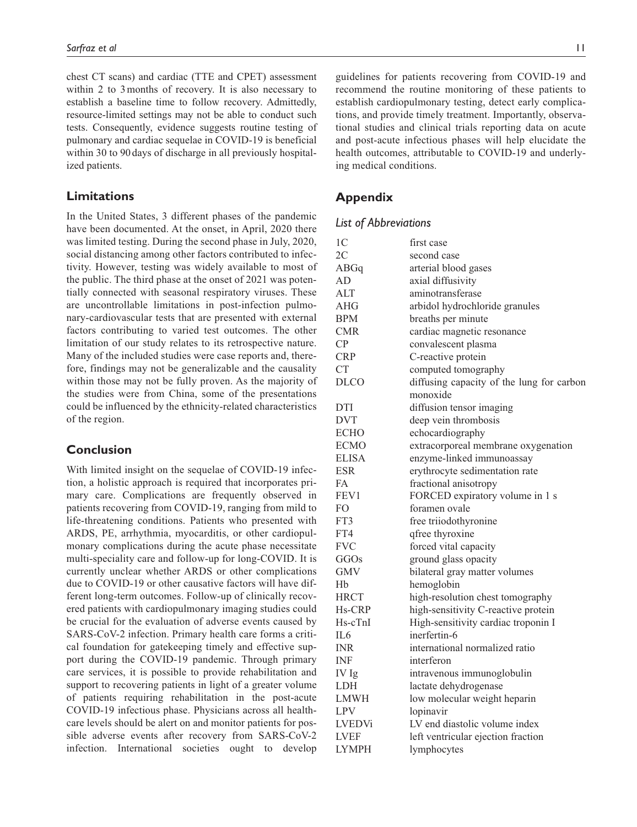chest CT scans) and cardiac (TTE and CPET) assessment within 2 to 3months of recovery. It is also necessary to establish a baseline time to follow recovery. Admittedly, resource-limited settings may not be able to conduct such tests. Consequently, evidence suggests routine testing of pulmonary and cardiac sequelae in COVID-19 is beneficial within 30 to 90 days of discharge in all previously hospitalized patients.

#### **Limitations**

In the United States, 3 different phases of the pandemic have been documented. At the onset, in April, 2020 there was limited testing. During the second phase in July, 2020, social distancing among other factors contributed to infectivity. However, testing was widely available to most of the public. The third phase at the onset of 2021 was potentially connected with seasonal respiratory viruses. These are uncontrollable limitations in post-infection pulmonary-cardiovascular tests that are presented with external factors contributing to varied test outcomes. The other limitation of our study relates to its retrospective nature. Many of the included studies were case reports and, therefore, findings may not be generalizable and the causality within those may not be fully proven. As the majority of the studies were from China, some of the presentations could be influenced by the ethnicity-related characteristics of the region.

#### **Conclusion**

With limited insight on the sequelae of COVID-19 infection, a holistic approach is required that incorporates primary care. Complications are frequently observed in patients recovering from COVID-19, ranging from mild to life-threatening conditions. Patients who presented with ARDS, PE, arrhythmia, myocarditis, or other cardiopulmonary complications during the acute phase necessitate multi-speciality care and follow-up for long-COVID. It is currently unclear whether ARDS or other complications due to COVID-19 or other causative factors will have different long-term outcomes. Follow-up of clinically recovered patients with cardiopulmonary imaging studies could be crucial for the evaluation of adverse events caused by SARS-CoV-2 infection. Primary health care forms a critical foundation for gatekeeping timely and effective support during the COVID-19 pandemic. Through primary care services, it is possible to provide rehabilitation and support to recovering patients in light of a greater volume of patients requiring rehabilitation in the post-acute COVID-19 infectious phase. Physicians across all healthcare levels should be alert on and monitor patients for possible adverse events after recovery from SARS-CoV-2 infection. International societies ought to develop guidelines for patients recovering from COVID-19 and recommend the routine monitoring of these patients to establish cardiopulmonary testing, detect early complications, and provide timely treatment. Importantly, observational studies and clinical trials reporting data on acute and post-acute infectious phases will help elucidate the health outcomes, attributable to COVID-19 and underlying medical conditions.

### **Appendix**

#### *List of Abbreviations*

| 1 <sup>C</sup>  | first case                                |
|-----------------|-------------------------------------------|
| 2 <sup>C</sup>  | second case                               |
| ABGq            | arterial blood gases                      |
| AD              | axial diffusivity                         |
| <b>ALT</b>      | aminotransferase                          |
| <b>AHG</b>      | arbidol hydrochloride granules            |
| <b>BPM</b>      | breaths per minute                        |
| <b>CMR</b>      | cardiac magnetic resonance                |
| $\overline{CP}$ | convalescent plasma                       |
| <b>CRP</b>      | C-reactive protein                        |
| <b>CT</b>       | computed tomography                       |
| <b>DLCO</b>     | diffusing capacity of the lung for carbon |
|                 | monoxide                                  |
| DTI             | diffusion tensor imaging                  |
| <b>DVT</b>      | deep vein thrombosis                      |
| <b>ECHO</b>     | echocardiography                          |
| <b>ECMO</b>     | extracorporeal membrane oxygenation       |
| <b>ELISA</b>    | enzyme-linked immunoassay                 |
| <b>ESR</b>      | erythrocyte sedimentation rate            |
| FA              | fractional anisotropy                     |
| FEV1            | FORCED expiratory volume in 1 s           |
| FO              | foramen ovale                             |
| FT3             | free triiodothyronine                     |
| FT4             | qfree thyroxine                           |
| <b>FVC</b>      | forced vital capacity                     |
| GGOs            | ground glass opacity                      |
| <b>GMV</b>      | bilateral gray matter volumes             |
| Hb              | hemoglobin                                |
| <b>HRCT</b>     | high-resolution chest tomography          |
| Hs-CRP          | high-sensitivity C-reactive protein       |
| Hs-cTnI         | High-sensitivity cardiac troponin I       |
| IL6             | inerfertin-6                              |
| INR             | international normalized ratio            |
| <b>INF</b>      | interferon                                |
| IV Ig           | intravenous immunoglobulin                |
| LDH             | lactate dehydrogenase                     |
| LMWH            | low molecular weight heparin              |
| LPV             | lopinavir                                 |
| <b>LVEDVi</b>   | LV end diastolic volume index             |
| <b>LVEF</b>     | left ventricular ejection fraction        |
| <b>LYMPH</b>    | lymphocytes                               |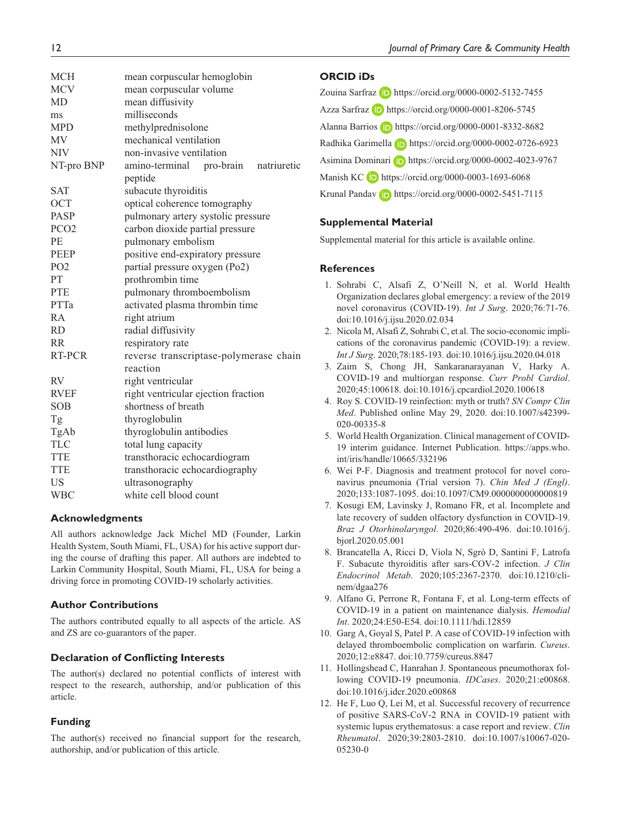| <b>MCH</b>       | mean corpuscular hemoglobin            |
|------------------|----------------------------------------|
| <b>MCV</b>       | mean corpuscular volume                |
| <b>MD</b>        | mean diffusivity                       |
| ms               | milliseconds                           |
| <b>MPD</b>       | methylprednisolone                     |
| <b>MV</b>        | mechanical ventilation                 |
| <b>NIV</b>       | non-invasive ventilation               |
| NT-pro BNP       | amino-terminal pro-brain natriuretic   |
|                  | peptide                                |
| <b>SAT</b>       | subacute thyroiditis                   |
| <b>OCT</b>       | optical coherence tomography           |
| <b>PASP</b>      | pulmonary artery systolic pressure     |
| PCO <sub>2</sub> | carbon dioxide partial pressure        |
| PE               | pulmonary embolism                     |
| <b>PEEP</b>      | positive end-expiratory pressure       |
| PO <sub>2</sub>  | partial pressure oxygen (Po2)          |
| PT               | prothrombin time                       |
| <b>PTE</b>       | pulmonary thromboembolism              |
| PTTa             | activated plasma thrombin time         |
| <b>RA</b>        | right atrium                           |
| <b>RD</b>        | radial diffusivity                     |
| <b>RR</b>        | respiratory rate                       |
| RT-PCR           | reverse transcriptase-polymerase chain |
|                  | reaction                               |
| <b>RV</b>        | right ventricular                      |
| <b>RVEF</b>      | right ventricular ejection fraction    |
| <b>SOB</b>       | shortness of breath                    |
| Tg               | thyroglobulin                          |
| TgAb             | thyroglobulin antibodies               |
| <b>TLC</b>       | total lung capacity                    |
| <b>TTE</b>       | transthoracic echocardiogram           |
| <b>TTE</b>       | transthoracic echocardiography         |
| <b>US</b>        | ultrasonography                        |
| <b>WBC</b>       | white cell blood count                 |

#### **Acknowledgments**

All authors acknowledge Jack Michel MD (Founder, Larkin Health System, South Miami, FL, USA) for his active support during the course of drafting this paper. All authors are indebted to Larkin Community Hospital, South Miami, FL, USA for being a driving force in promoting COVID-19 scholarly activities.

#### **Author Contributions**

The authors contributed equally to all aspects of the article. AS and ZS are co-guarantors of the paper.

#### **Declaration of Conflicting Interests**

The author(s) declared no potential conflicts of interest with respect to the research, authorship, and/or publication of this article.

#### **Funding**

The author(s) received no financial support for the research, authorship, and/or publication of this article.

#### **ORCID iDs**

Zouina Sarfraz D <https://orcid.org/0000-0002-5132-7455> Azza Sarfraz **iD** <https://orcid.org/0000-0001-8206-5745> Alanna Barrios **iD** <https://orcid.org/0000-0001-8332-8682> Radhika Garimella **<https://orcid.org/0000-0002-0726-6923>** Asimina Dominari **b** <https://orcid.org/0000-0002-4023-9767> Manish KC D <https://orcid.org/0000-0003-1693-6068> Krunal Pandav **iD** <https://orcid.org/0000-0002-5451-7115>

#### **Supplemental Material**

Supplemental material for this article is available online.

#### **References**

- 1. Sohrabi C, Alsafi Z, O'Neill N, et al. World Health Organization declares global emergency: a review of the 2019 novel coronavirus (COVID-19). *Int J Surg*. 2020;76:71-76. doi:10.1016/j.ijsu.2020.02.034
- 2. Nicola M, Alsafi Z, Sohrabi C, et al. The socio-economic implications of the coronavirus pandemic (COVID-19): a review. *Int J Surg*. 2020;78:185-193. doi:10.1016/j.ijsu.2020.04.018
- 3. Zaim S, Chong JH, Sankaranarayanan V, Harky A. COVID-19 and multiorgan response. *Curr Probl Cardiol*. 2020;45:100618. doi:10.1016/j.cpcardiol.2020.100618
- 4. Roy S. COVID-19 reinfection: myth or truth? *SN Compr Clin Med*. Published online May 29, 2020. doi:10.1007/s42399- 020-00335-8
- 5. World Health Organization. Clinical management of COVID-19 interim guidance. Internet Publication. [https://apps.who.](https://apps.who.int/iris/handle/10665/332196) [int/iris/handle/10665/332196](https://apps.who.int/iris/handle/10665/332196)
- 6. Wei P-F. Diagnosis and treatment protocol for novel coronavirus pneumonia (Trial version 7). *Chin Med J (Engl)*. 2020;133:1087-1095. doi:10.1097/CM9.0000000000000819
- 7. Kosugi EM, Lavinsky J, Romano FR, et al. Incomplete and late recovery of sudden olfactory dysfunction in COVID-19. *Braz J Otorhinolaryngol*. 2020;86:490-496. doi:10.1016/j. bjorl.2020.05.001
- 8. Brancatella A, Ricci D, Viola N, Sgrò D, Santini F, Latrofa F. Subacute thyroiditis after sars-COV-2 infection. *J Clin Endocrinol Metab*. 2020;105:2367-2370. doi:10.1210/clinem/dgaa276
- 9. Alfano G, Perrone R, Fontana F, et al. Long-term effects of COVID-19 in a patient on maintenance dialysis. *Hemodial Int*. 2020;24:E50-E54. doi:10.1111/hdi.12859
- 10. Garg A, Goyal S, Patel P. A case of COVID-19 infection with delayed thromboembolic complication on warfarin. *Cureus*. 2020;12:e8847. doi:10.7759/cureus.8847
- 11. Hollingshead C, Hanrahan J. Spontaneous pneumothorax following COVID-19 pneumonia. *IDCases*. 2020;21:e00868. doi:10.1016/j.idcr.2020.e00868
- 12. He F, Luo Q, Lei M, et al. Successful recovery of recurrence of positive SARS-CoV-2 RNA in COVID-19 patient with systemic lupus erythematosus: a case report and review. *Clin Rheumatol*. 2020;39:2803-2810. doi:10.1007/s10067-020- 05230-0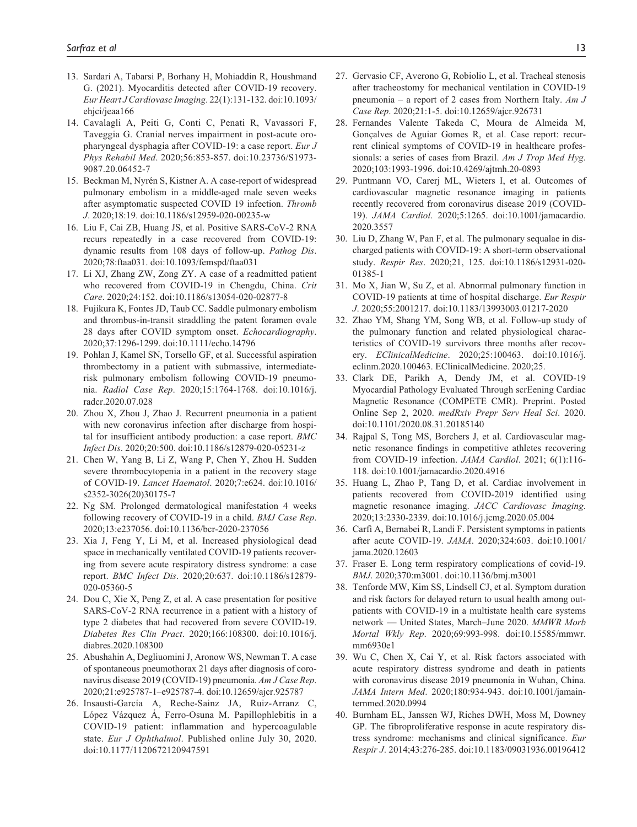- 13. Sardari A, Tabarsi P, Borhany H, Mohiaddin R, Houshmand G. (2021). Myocarditis detected after COVID-19 recovery. *Eur Heart J Cardiovasc Imaging*. 22(1):131-132. doi:10.1093/ ehjci/jeaa166
- 14. Cavalagli A, Peiti G, Conti C, Penati R, Vavassori F, Taveggia G. Cranial nerves impairment in post-acute oropharyngeal dysphagia after COVID-19: a case report. *Eur J Phys Rehabil Med*. 2020;56:853-857. doi:10.23736/S1973- 9087.20.06452-7
- 15. Beckman M, Nyrén S, Kistner A. A case-report of widespread pulmonary embolism in a middle-aged male seven weeks after asymptomatic suspected COVID 19 infection. *Thromb J*. 2020;18:19. doi:10.1186/s12959-020-00235-w
- 16. Liu F, Cai ZB, Huang JS, et al. Positive SARS-CoV-2 RNA recurs repeatedly in a case recovered from COVID-19: dynamic results from 108 days of follow-up. *Pathog Dis*. 2020;78:ftaa031. doi:10.1093/femspd/ftaa031
- 17. Li XJ, Zhang ZW, Zong ZY. A case of a readmitted patient who recovered from COVID-19 in Chengdu, China. *Crit Care*. 2020;24:152. doi:10.1186/s13054-020-02877-8
- 18. Fujikura K, Fontes JD, Taub CC. Saddle pulmonary embolism and thrombus-in-transit straddling the patent foramen ovale 28 days after COVID symptom onset. *Echocardiography*. 2020;37:1296-1299. doi:10.1111/echo.14796
- 19. Pohlan J, Kamel SN, Torsello GF, et al. Successful aspiration thrombectomy in a patient with submassive, intermediaterisk pulmonary embolism following COVID-19 pneumonia. *Radiol Case Rep*. 2020;15:1764-1768. doi:10.1016/j. radcr.2020.07.028
- 20. Zhou X, Zhou J, Zhao J. Recurrent pneumonia in a patient with new coronavirus infection after discharge from hospital for insufficient antibody production: a case report. *BMC Infect Dis*. 2020;20:500. doi:10.1186/s12879-020-05231-z
- 21. Chen W, Yang B, Li Z, Wang P, Chen Y, Zhou H. Sudden severe thrombocytopenia in a patient in the recovery stage of COVID-19. *Lancet Haematol*. 2020;7:e624. doi:10.1016/ s2352-3026(20)30175-7
- 22. Ng SM. Prolonged dermatological manifestation 4 weeks following recovery of COVID-19 in a child. *BMJ Case Rep*. 2020;13:e237056. doi:10.1136/bcr-2020-237056
- 23. Xia J, Feng Y, Li M, et al. Increased physiological dead space in mechanically ventilated COVID-19 patients recovering from severe acute respiratory distress syndrome: a case report. *BMC Infect Dis*. 2020;20:637. doi:10.1186/s12879- 020-05360-5
- 24. Dou C, Xie X, Peng Z, et al. A case presentation for positive SARS-CoV-2 RNA recurrence in a patient with a history of type 2 diabetes that had recovered from severe COVID-19. *Diabetes Res Clin Pract*. 2020;166:108300. doi:10.1016/j. diabres.2020.108300
- 25. Abushahin A, Degliuomini J, Aronow WS, Newman T. A case of spontaneous pneumothorax 21 days after diagnosis of coronavirus disease 2019 (COVID-19) pneumonia. *Am J Case Rep*. 2020;21:e925787-1–e925787-4. doi:10.12659/ajcr.925787
- 26. Insausti-García A, Reche-Sainz JA, Ruiz-Arranz C, López Vázquez Á, Ferro-Osuna M. Papillophlebitis in a COVID-19 patient: inflammation and hypercoagulable state. *Eur J Ophthalmol*. Published online July 30, 2020. doi:10.1177/1120672120947591
- 27. Gervasio CF, Averono G, Robiolio L, et al. Tracheal stenosis after tracheostomy for mechanical ventilation in COVID-19 pneumonia – a report of 2 cases from Northern Italy. *Am J Case Rep*. 2020;21:1-5. doi:10.12659/ajcr.926731
- 28. Fernandes Valente Takeda C, Moura de Almeida M, Gonçalves de Aguiar Gomes R, et al. Case report: recurrent clinical symptoms of COVID-19 in healthcare professionals: a series of cases from Brazil. *Am J Trop Med Hyg*. 2020;103:1993-1996. doi:10.4269/ajtmh.20-0893
- 29. Puntmann VO, Carerj ML, Wieters I, et al. Outcomes of cardiovascular magnetic resonance imaging in patients recently recovered from coronavirus disease 2019 (COVID-19). *JAMA Cardiol*. 2020;5:1265. doi:10.1001/jamacardio. 2020.3557
- 30. Liu D, Zhang W, Pan F, et al. The pulmonary sequalae in discharged patients with COVID-19: A short-term observational study. *Respir Res*. 2020;21, 125. doi:10.1186/s12931-020- 01385-1
- 31. Mo X, Jian W, Su Z, et al. Abnormal pulmonary function in COVID-19 patients at time of hospital discharge. *Eur Respir J*. 2020;55:2001217. doi:10.1183/13993003.01217-2020
- 32. Zhao YM, Shang YM, Song WB, et al. Follow-up study of the pulmonary function and related physiological characteristics of COVID-19 survivors three months after recovery. *EClinicalMedicine*. 2020;25:100463. doi:10.1016/j. eclinm.2020.100463. EClinicalMedicine. 2020;25.
- 33. Clark DE, Parikh A, Dendy JM, et al. COVID-19 Myocardial Pathology Evaluated Through scrEening Cardiac Magnetic Resonance (COMPETE CMR). Preprint. Posted Online Sep 2, 2020. *medRxiv Prepr Serv Heal Sci*. 2020. doi:10.1101/2020.08.31.20185140
- 34. Rajpal S, Tong MS, Borchers J, et al. Cardiovascular magnetic resonance findings in competitive athletes recovering from COVID-19 infection. *JAMA Cardiol*. 2021; 6(1):116- 118. doi:10.1001/jamacardio.2020.4916
- 35. Huang L, Zhao P, Tang D, et al. Cardiac involvement in patients recovered from COVID-2019 identified using magnetic resonance imaging. *JACC Cardiovasc Imaging*. 2020;13:2330-2339. doi:10.1016/j.jcmg.2020.05.004
- 36. Carfì A, Bernabei R, Landi F. Persistent symptoms in patients after acute COVID-19. *JAMA*. 2020;324:603. doi:10.1001/ jama.2020.12603
- 37. Fraser E. Long term respiratory complications of covid-19. *BMJ*. 2020;370:m3001. doi:10.1136/bmj.m3001
- 38. Tenforde MW, Kim SS, Lindsell CJ, et al. Symptom duration and risk factors for delayed return to usual health among outpatients with COVID-19 in a multistate health care systems network — United States, March–June 2020. *MMWR Morb Mortal Wkly Rep*. 2020;69:993-998. doi:10.15585/mmwr. mm6930e1
- 39. Wu C, Chen X, Cai Y, et al. Risk factors associated with acute respiratory distress syndrome and death in patients with coronavirus disease 2019 pneumonia in Wuhan, China. *JAMA Intern Med*. 2020;180:934-943. doi:10.1001/jamainternmed.2020.0994
- 40. Burnham EL, Janssen WJ, Riches DWH, Moss M, Downey GP. The fibroproliferative response in acute respiratory distress syndrome: mechanisms and clinical significance. *Eur Respir J*. 2014;43:276-285. doi:10.1183/09031936.00196412